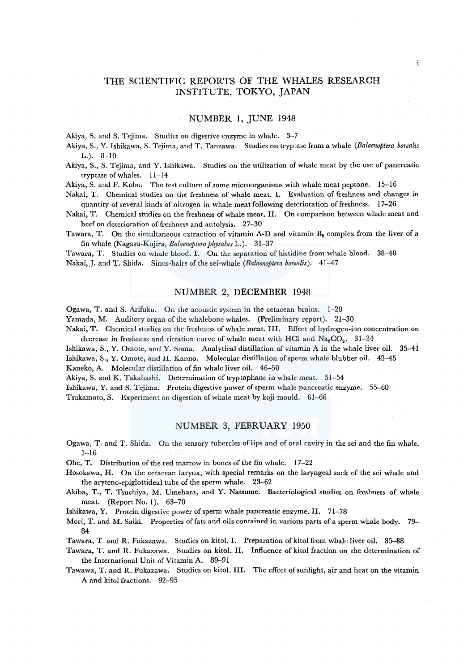# THE SCIENTIFIC REPORTS OF THE WHALES RESEARCH INSTITUTE, TOKYO, JAPAN

 $\mathbf{i}$ 

# NUMBER 1, JUNE 1948

Akiya, S. and S. Tejima. Studies on digestive enzyme in whale. 3-7

Akiya, S., Y. Ishikawa, S. Tejima, and T. Tanzawa. Studies on tryptase from a whale *(Balaenoptera borealis*  L.). 8-10

Akiya, S., S. Tejima, and Y. Ishikawa. Studies on the utilization of whale meat by the use of pancreatic tryptase of whales. 11-14

Akiya, S. and F. Kobo. The test culture of some microorganisms with whale meat peptone. 15-16

Nakai, T. Chemical studies on the freshness of whale meat. I. Evaluation of freshness and changes in quantity of several kinds of nitrogen in whale meat following deterioration of freshness. 17-26

Nakai, T. Chemical studies on the freshness of whale meat. II. On comparison between whale meat and beef on deterioration of freshness and autolysis. 27-30

Tawara, T. On the simultaneous extraction of vitamin A-D and vitamin  $B_2$  complex from the liver of a fin whale (Nagasu-Kujira, *Balaenoptera physalus* L.). 31-37

Tawara, T. Studies on whale blood. I. On the separation of histidine from whale blood. 38-40 Nakai,.J. and T. Shida. Sinus-hairs of the sei-whale *(Balaenoptera borealis).* 41-47

# NUMBER 2, DECEMBER 1948

Ogawa, T. and S. Arifuku. On the acoustic system in the cetacean brains. 1-20

Yamada, M. Auditory organ of the whalebone whales. (Preliminary report). 21-30

Nakai, T. Chemical studies on the freshness of whale meat. III. Effect of hydrogen-ion concentration on decrease in freshness and titration curve of whale meat with HCl and  $Na<sub>2</sub>CO<sub>2</sub>$ . 31-34

Ishikawa, S., Y. Omote, and Y. Soma. Analytical distillation of vitamin A in the whale liver oil. 35-41 Ishikawa, S., Y. Omote, and H. Kanno. Molecular distillation of sperm whale blubber oil. 42-45

Kaneko, A. Molecular distillation of fin whale liver oil. 46-50

Akiya, S. and K. Takahashi. Determination of tryptophane in whale meat. 51-54

Ishikawa, Y. and S. Tejima. Protein digestive power of sperm whale pancreatic enzyme. 55-60

Tsukamoto, S. Experiment on digestion of whale meat by koji-mould. 61-66

### NUMBER 3, FEBRUARY 1950

Ogawa, T. and T. Shida. On the sensory tubercles oflips and of oral cavity in the sei and the fin whale.  $1 - 16$ 

Ohe, T. Distribution of the red marrow in bones of the fin whale. 17-22

- Hosokawa, H. On the cetacean larynx, with special remarks on the laryngeal sack of the sei whale and the aryteno-epiglottideal tube of the sperm whale. 23-62
- Akiba, T., T. Tsuchiya, M. Umehara, and Y. Natsume. Bacteriological studies on freshness of whale meat. (Report No. 1). 63-70

Ishikawa, Y. Protein digestive power of sperm whale pancreatic enzyme. II. 71-78

Mori, T. and M. Saiki. Properties of fats and oils contained in various parts of a sperm whale body. 79- 84

Tawara, T. and R. Fukazawa. Studies on kitol. I. Preparation of kitol from whale liver oil. 85-88

Tawara, T. and R. Fukazawa. Studies on kitol. II. Influence of kitol fraction on the determination of the International Unit of Vitamin A. 89-91

Tawawa, T. and R. Fukazawa. Studies on kitol. III. The effect of sunlight, air and heat on the vitamin A and kitol fractions. 92-95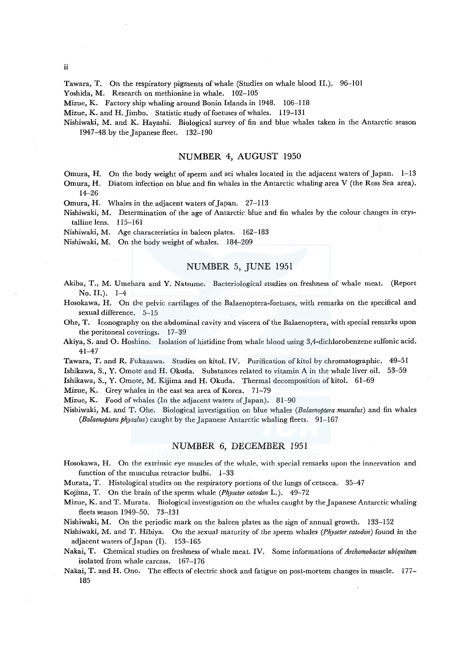ii

Tawara, T. On the respiratory pigments of whale (Studies on whale blood II.). 96-101

Yoshida, M. Research on methionine in whale. 102-105

Mizue, K. Factory ship whaling around Bonin Islands in 1948. 106-118

Mizue, K. and H. Jimbo. Statistic study of foetuses of whales. 119-131

Nishiwaki, M. and K. Hayashi. Biological survey of fin and blue whales taken in the Antarctic season 1947-48 by the Japanese fleet. 132-190

#### NUMBER 4, AUGUST 1950

Omura, H. On the body weight of sperm and sei whales located in the adjacent waters of Japan. 1-13 Omura, H. Diatom infection on blue and fin whales in the Antarctic whaling area V (the Ross Sea area).

14-26

Omura, H. Whales in the adjacent waters of Japan. 27-113

Nishiwaki, M. Determination of the age of Antarctic blue and fin whales by the colour changes in crystalline lens. 115-161

Nishiwaki, M. Age characteristics in baleen plates. 162-183

Nishiwaki, M. On the body weight of whales. 184-209

## NUMBER 5, JUNE 1951

Akiba, T., M. Umehara and Y. Natsume. Bacteriological studies on freshness of whale meat. (Report No. II.). 1-4

Hosokawa, H. On the pelvic cartilages of the Balaenoptera-foetuses, with remarks on the specifical and sexual difference. 5-15

Ohe, T. Iconography on the abdominal cavity and viscera of the Balaenoptera, with special remarks upon the peritoneal coverings. 17-39

Akiya, S. and O. Hoshino. Isolation of histidine from whale blood using 3,4-dichlorobenzene sulfonic acid. 41-47

Tawara, T. and R. Fukazawa. Studies on kitol. IV. Purification ofkitol by chromatographic. 49-51

Ishikawa, S., Y. Omote and H. Okuda. Substances related to vitamin A in the whale liver oil. 53-59

Ishikawa, S., Y. Omote, M. Kijima and H. Okuda. Thermal decomposition of kitol. 61-69

Mizue, K. Grey whales in the east sea area of Korea. 71-79

Mizue, K. Food of whales (In the adjacent waters of Japan). 81-90

Nishiwaki, M. and T. Ohe. Biological investigation on blue whales *(Balaenoptera musculus)* and fin whales *(Balaenoptera physalus)* caught by the Japanese Antarctic whaling fleets. 91-167

# NUMBER 6, DECEMBER 1951

Hosokawa, H. On the extrinsic eye muscles of the whale, with special remarks upon the innervation and function of the musculus retractor bulbi. 1-33

Murata, T. Histological studies on the respiratory portions of the lungs of cetacea. 35-47

Kojima, T. On the brain of the sperm whale *(Physeter catodon* L.). 49-72

Mizue, K. and T. Murata. Biological investigation on the whales caught by the Japanese Antarctic whaling fleets season 1949-50. 73-131

Nishiwaki, M. On the periodic mark on the baleen plates as the sign of annual growth. 133-152

Nishiwaki, M. and T. Hibiya. On the sexual maturity of the sperm whales *(Physeter catodon)* found in the adjacent waters of Japan (I). 153-165

Nakai, T. Chemical studies on freshness of whale meat. IV. Some informations of *Archomobacter ubiquitum*  isolated from whale carcass. 167-176

Nakai, T. and H. Ono. The effects of electric shock and fatigue on post-mortem changes in muscle. 177- 185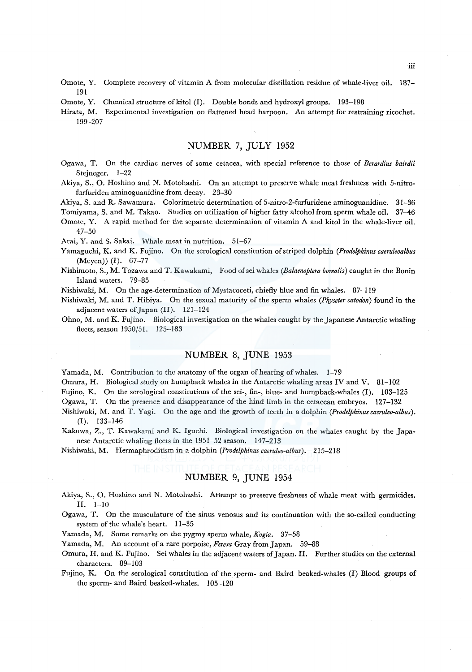- Omote, Y. Complete recovery of vitamin A from molecular distillation residue of whale-liver oil. 187- 191
- Omote, Y. Chemical structure of kitol (I). Double bonds and hydroxyl groups. 193-198

Hirata, M. Experimental investigation on flattened head harpoon. An attempt for restraining ricochet. 199-207

# NUMBER 7, JULY 1952

- Ogawa, T. On the cardiac nerves of some cetacea, with special reference to those of *Berardius bairdii*  Stejneger. 1-22
- Akiya, S., 0. Hoshino and N. Motohashi. On an attempt to preserve whale meat freshness with 5-nitrofurfuriden aminoguanidine from decay. 23-30

Akiya, S. and R. Sawamura. Colorimetric determination of 5-nitro-2-furfuridene aminoguanidine. 31-36

Tomiyama, S. and M. Takao. Studies on utilization of higher fatty alcohol from sperm whale oil. 37-46

Omote, Y. A rapid method for the separate determination of vitamin A and kitol in the whale-liver oil. 47-50

Arai, Y. and S. Sakai. Whale meat in nutrition. 51-67

Yamaguchi, K. and K. Fujino. On the serological constitution of striped dolphin *(Prodelphinus caeruleoalbus*  (Meyen)) (I). 67-77

Nishimoto, S., M. Tozawa and T. Kawakami, Food ofsei whales *(Balaenoptera borealis)* caught in the Bonin Island waters. 79-85

Nishiwaki, M. On the age-determination of Mystacoceti, chiefly blue and fin whales. 87-119

Nishiwaki, M. and T. Hibiya. On the sexual maturity of the sperm whales *(Physeter catodon)* found in the adjacent waters of Japan (II). 121-124

Ohno, M. and K. Fujino. Biological investigation on the whales caught by the Japanese Antarctic whaling fleets, season 1950/51. 125-183

# NUMBER 8, JUNE 1953

Yamada, M. Contribution to the anatomy of the organ of hearing of whales. 1-79

Omura, H. Biological study on humpback whales in the Antarctic whaling areas IV and V. 81-102

Fujino, K. On the serological constitutions of the sei-, fin-, blue- and humpback-whales (I). 103-125

Ogawa, T. On the presence and disappearance of the hind limb in the cetacean embryos. 127-132

- Nishiwaki, M. and T. Yagi. On the age and the growth of teeth in a dolphin *(Prodelphinuscaeruleo-albus).*  (I). 133-146
- Kakuwa, Z., T. Kawakami and K. Iguchi. Biological investigation on the whales caught by the Japanese Antarctic whaling fleets in the 1951-52 season. 147-213

Nishiwaki, M. Hermaphroditism in a dolphin *(Prodelphinuscaeruleo-albus).* 215-218

# NUMBER 9, JUNE 1954

- Akiya, S., 0. Hoshino and N. Motohashi. Attempt to preserve freshness of whale meat with germicides. II. 1-10
- Ogawa, T. On the musculature of the sinus venosus and its continuation with the so-called conducting system of the whale's heart. 11-35

Yamada, M. Some remarks on the pygmy sperm whale, *Kogia.* 37-58

Yamada, M. An account of a rare porpoise, *Feresa* Gray from Japan. 59-88

Omura, H. and K. Fujino. Sei whales in the adjacent waters of Japan. II. Further studies on the external characters. 89-103

Fujino, K. On the serological constitution of the sperm- and Baird beaked-whales (I) Blood groups of the sperm- and Baird beaked-whales. 105-120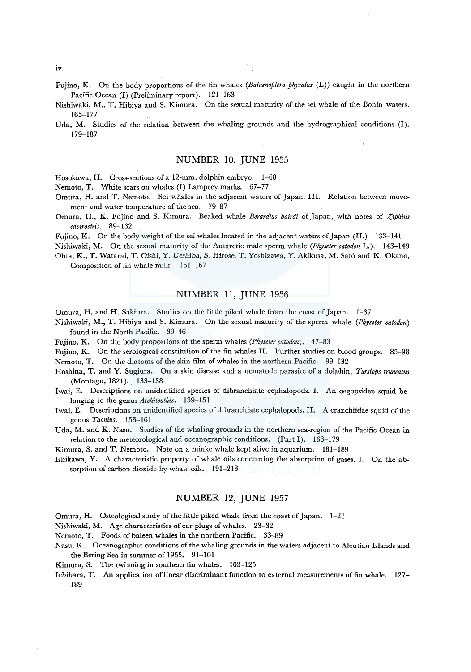- Fujino, K. On the body proportions of the fin whales *(Balaenoptera physalus* (L)) caught in the northern Pacific Ocean (I) (Preliminary report). 121-163
- Nishiwaki, M., T. Hibiya and S. Kimura. On the sexual maturity of the sei whale of the Bonin waters. 165-177

Uda, M. Studies of the relation between the whaling grounds and the hydrographical conditions (1). 179-187

#### NUMBER 10, JUNE 1955

Hosokawa, H. Cross-sections of a 12-mm. dolphin embryo. 1-68

Nemoto, T. White scars on whales (I) Lamprey marks. 67-77

- Omura, H. and T. Nemoto. Sei whales in the adjacent waters of Japan. III. Relation between movement and water temperature of the sea. 79-87
- Omura, H., K. Fujino and S. Kimura. Beaked whale *Berardius bairdi* of Japan, with notes of *Ziphius cavirostris.* 89-132

Fujino, K. On the body weight of the sei whales located in the adjacent waters of Japan (II.) 133-141

Nishiwaki, M. On the sexual maturity of the Antarctic male sperm whale *(Physeter catodon* L.). 143-149 Ohta, K., T. Watarai, T. Oishi, Y. Ueshiba, S. Hirose, T. Yoshizawa, Y. Akikusa, M. Sato and K. Okano,

Composition of fin whale milk. 151-167

# NUMBER 11, JUNE 1956

Omura, H. and H. Sakiura. Studies on the little piked whale from the coast of Japan. 1-37

Nishiwaki, M., T. Hibiya and S. Kimura. On the sexual maturity of the sperm whale *(Physeter catodon)*  found in the North Pacific. 39-46

Fujino, K. On the body proportions of the sperm whales *(Physeter catodon).* 47-83

- Fujino, K. On the serological constitution of the fin whales II. Further studies on blood groups. 85-98 Nemoto, T. On the diatoms of the skin film of whales in the northern Pacific. 99-132
- Hoshina, T. and Y. Sugiura. On a skin disease and a nematode parasite of a dolphin, *Tursiops truncatus*  (Montagu, 1821). 133-138

Iwai, E. Descriptions on unidentified species of dibranchiate cephalopods. I. An oegopsiden squid belonging to the genus *Architeuthis.* 139-151

Iwai, E. Descriptions on unidentified species of dibranchiate cephalopods. II. A cranchiidae squid of the genus *Taonius.* 153-161

Uda, M. and K. Nasu. Studies of the whaling grounds in the northern sea-region of the Pacific Ocean in relation to the meteorological and oceanographic conditions. (Part I). 163-179

Kimura, S. and T. Nemoto. Note on a minke whale kept alive in aquarium. 181-189

Ishikawa, Y. A characteristic property of whale oils concerning the absorption of gases. I. On the absorption of carbon dioxide by whale oils. 191-213

### NUMBER 12, JUNE 1957

Omura, H. Osteological study of the little piked whale from the coast of Japan. 1-21

Nishiwaki, M. Age characteristics of ear plugs of whales. 23-32

Nemoto, T. Foods of baleen whales in the northern Pacific. 33-89

- Nasu, K. Oceanographic conditions of the whaling grounds in the waters adjacent to Aleutian Islands and the Bering Sea in summer of 1955. 91-101
- Kimura, S. The twinning in southern fin whales. 103-125
- Ichihara, T. An application of linear discriminant function to external measurements of fin whale. 127– 189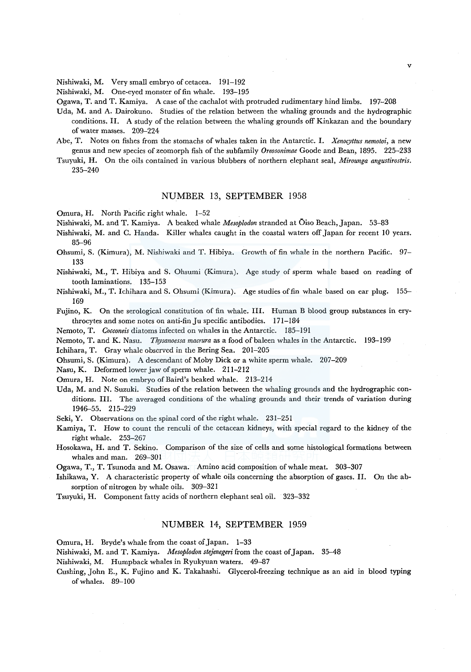Nishiwaki, M. Very small embryo of cetacea. 191-192

Nishiwaki, M. One-eyed monster of fin whale. 193-195

Ogawa, T. and T. Kamiya. A case of the cachalot with protruded rudimentary hind limbs. 197-208

- Uda, M. and A. Dairokuno. Studies of the relation between the whaling grounds and the hydrographic conditions. II. A study of the relation between the whaling grounds off Kinkazan and the boundary of water masses. 209-224
- Abe, T. Notes on fishes from the stomachs of whales taken in the Antarctic. I. *Xenocyttus nemotoi,* a new genus and new species of zeomorph fish of the subfamily *Oreosonimae* Goode and Bean, 1895. 225-233
- Tsuyuki, H. On the oils contained in various blubbers of northern elephant seal, *Mirounga angustirostris.*  235-240

### NUMBER 13, SEPTEMBER 1958

Omura, H. North Pacific right whale. 1-52

- Nishiwaki, M. and T. Kamiya. A beaked whale *Mesoplodon* stranded at Oiso Beach, Japan. 53-83
- Nishiwaki, M. and C. Handa. Killer whales caught in the coastal waters off Japan for recent 10 years. 85-96
- Ohsumi, S. (Kimura), M. Nishiwaki and T. Hibiya. Growth of fin whale in the northern Pacific. 97- 133
- Nishiwaki, M., T. Hibiya and S. Ohsumi (Kimura). Age study of sperm whale based on reading of tooth laminations. 135-153
- Nishiwaki, M., T. Ichihara and S. Ohsumi (Kimura). Age studies of fin whale based on ear plug. 155- 169

Fujino, K. On the serological constitution of fin whale. III. Human B blood group substances in erythrocytes and some notes on anti-fin Ju specific antibodies. 171-184

Nemoto, T. *Cocconeis* diatoms infected on whales in the Antarctic. 185-191

Nemoto, T. and K. Nasu. *Thysanoessa macrura* as a food of baleen whales in the Antarctic. 193-199

Ichihara, T. Gray whale observed in the Bering Sea. 201-205

Ohsumi, S. (Kimura). A descendant of Moby Dick or a white sperm whale. 207-209

Nasu, K. Deformed lower jaw of sperm whale. 211-212

Omura, H. Note on embryo of Baird's beaked whale. 213-214

Uda, M. and N. Suzuki. Studies of the relation between the whaling grounds and the hydrographic conditions. III. The averaged conditions of the whaling grounds and their trends of variation during 1946-55. 215-229

Seki, Y. Observations on the spinal cord of the right whale. 231-251

- Kamiya, T. How to count the renculi of the cetacean kidneys, with special regard to the kidney of the right whale. 253-267
- Hosokawa, H. and T. Sekino. Comparison of the size of cells and some histological formations between whales and man. 269-301

Ogawa, T., T. Tsunoda and M. Osawa. Amino acid composition of whale meat. 303-307

- Ishikawa, Y. A characteristic property of whale oils concerning the absorption of gases. II. On the absorption of nitrogen by whale oils. 309-321
- Tsuyuki, H. Component fatty acids of northern elephant seal oil. 323-332

### NUMBER 14, SEPTEMBER 1959

Omura, H. Bryde's whale from the coast of Japan. 1-33

Nishiwaki, M. and T. Kamiya. *Mesoplodon stejenegeri* from the coast of Japan. 35-48

Nishiwaki, M. Humpback whales in Ryukyuan waters. 49-87

Cushing, John E., K. Fujino and K. Takahashi. Glycerol-freezing technique as an aid in blood typing ofwhales. 89-100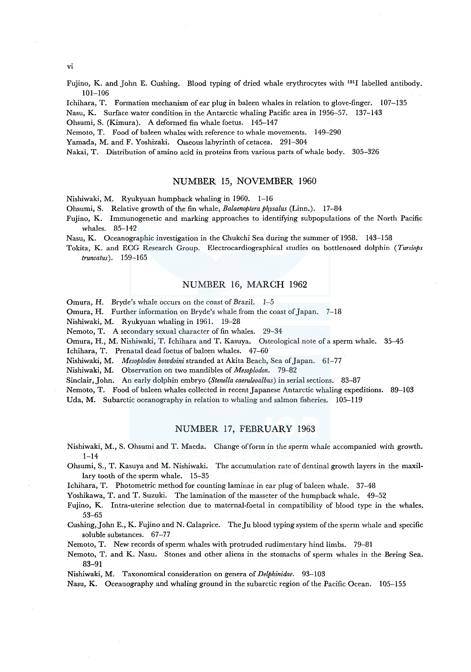vi

Fujino, K. and John E. Cushing. Blood typing of dried whale erythrocytes with 1311 labelled antibody. 101-106

lchihara, T. Formation mechanism of ear plug in baleen whales in relation to glove-finger. 107-135

Nasu, K. Surface water condition in the Antarctic whaling Pacific area in 1956-57. 137-143

Ohsumi, S. (Kimura). A deformed fin whale foetus. 145-147

Nemoto, T. Food of baleen whales with reference to whale movements. 149-290

Yamada, M. and F. Yoshizaki. Osseous labyrinth of cetacea. 291-304

Nakai, T. Distribution of amino acid in proteins from various parts of whale body. 305-326

# NUMBER 15, NOVEMBER 1960

Nishiwaki, M. Ryukyuan humpback whaling in 1960. 1-16

Ohsumi, S. Relative growth of the fin whale, *Balaenoptera physalus* (Linn.). 17-84

Fujino, K. lmmunogenetic and marking approaches to identifying subpopulations of the North Pacific whales. 85-142

Nasu, K. Oceanographic investigation in the Chukchi Sea during the summer of 1958. 143-158

Tokita, K. and ECG Research Group. Electrocardiographical studies on bottlenosed dolphin *(Tursiops truncatus).* 159-165

# NUMBER 16, MARCH 1962

Omura, H. Bryde's whale occurs on the coast of Brazil. 1-5

Omura, H. Further information on Bryde's whale from the coast of Japan. 7-18

Nishiwaki, M. Ryukyuan whaling in 1961. 19-28

Nemoto, T. A secondary sexual character of fin whales. 29-34

Omura, H., M. Nishiwaki, T. Ichihara and T. Kasuya. Osteological note of a sperm whale. 35-45

Ichihara, T. Prenatal dead foetus of baleen whales. 47-60

Nishiwaki, M. *Mesoplodon bowdoini* stranded at Akita Beach, Sea of Japan. 61-77

Nishiwaki, M. Observation on two mandibles of *Mesoplodon.* 79-82

Sinclair, John. An early dolphin embryo *(Stenella caeruleoalbus)* in serial sections. 83-87

Nemoto, T. Food of baleen whales collected in recent Japanese Antarctic whaling expeditions. 89-103

Uda, M. Subarctic oceanography in relation to whaling and salmon fisheries. 105-119

# NUMBER 17, FEBRUARY 1963

Nishiwaki, M., S. Ohsumi and T. Maeda. Change of form in the sperm whale accompanied with growth.  $1 - 14$ 

Ohsumi, S., T. Kasuya and M. Nishiwaki. The accumulation rate of dentinal growth layers in the maxillary tooth of the sperm whale. 15-35

lchihara, T. Photometric method for counting laminae in ear plug of baleen whale. 37-48

Yoshikawa, T. and T. Suzuki. The lamination of the masseter of the humpback whale. 49-52

Fujino, K. Intra-uterine selection due to maternal-foetal in compatibility of blood type in the whales. 53-65

Cushing, John E., K. Fujino and N. Calaprice. The Ju blood typing system of the sperm whale and specific soluble substances. 67-77

Nemoto, T. New records of sperm whales with protruded rudimentary hind limbs. 79-81

Nemoto, T. and K. Nasu. Stones and other aliens in the stomachs of sperm whales in the Bering Sea. 83-91

Nishiwaki, M. Taxonomical consideration on genera of *Delphinidae.* 93-103

Nasu, K. Oceanography and whaling ground in the subarctic region of the Pacific Ocean. 105-155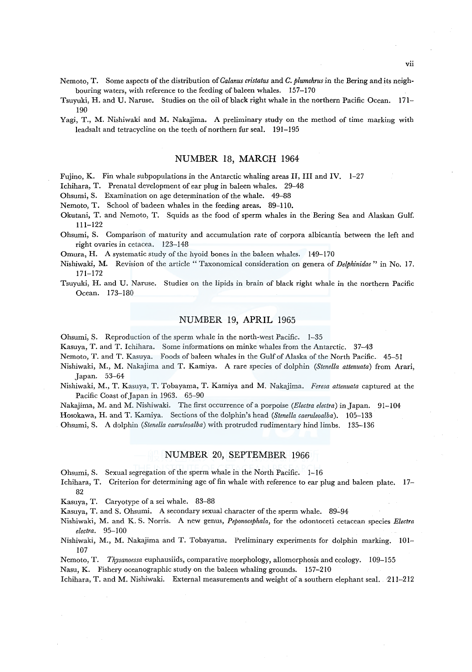Nemoto, T. Some aspects of the distribution of *Calanus cristatus* and *C. plumchrus* in the Bering and its neighbouring waters, with reference to the feeding of baleen whales. 157-170

Tsuyuki, H. and U. Naruse. Studies on the oil of black right whale in the northern Pacific Ocean. 171- 190

Yagi, T., M. Nishiwaki and M. Nakajima. A preliminary study on the method of time marking with leadsalt and tetracycline on the teeth of northern fur seal. 191-195

### NUMBER 18, MARCH 1964

Fujino, K. Fin whale subpopulations in the Antarctic whaling areas II, III and IV. 1-27

lchihara, T. Prenatal development of ear plug in baleen whales. 29-48

Ohsumi, S. Examination on age determination of the whale. 49-88

Nemoto, T. School of badeen whales in the feeding areas. 89-110.

Okutani, T. and Nemoto, T. Squids as the food of sperm whales in the Bering Sea and Alaskan Gulf. 111-122

Ohsumi, S. Comparison of maturity and accumulation rate of corpora albicantia between the left and right ovaries in cetacea. 123-148

Omura, H. A systematic study of the hyoid bones in the baleen whales. 149-170

Nishiwaki, M. Revision of the article " Taxonomical consideration on genera of *Delphinidae"* in No. 17. 171-172

Tsuyuki, H. and U. Naruse. Studies on the lipids in brain of black right whale in the northern Pacific Ocean. 173-180

# NUMBER 19, APRIL 1965

Ohsumi, S. Reproduction of the sperm whale in the north-west Pacific. 1-35

Kasuya, T. and T. lchihara. Some informations on minke whales from the Antarctic. 37-43

Nemoto, T. and T. Kasuya. Foods of baleen whales in the Gulf of Alaska of the North Pacific. 45-51

Nishiwaki, M., M. Nakajima and T. Kamiya. A rare species of dolphin *(Stenella attenuata)* from Arari, Japan. 53-64

Nishiwaki, M., T. Kasuya, T. Tobayama, T. Kamiya and M. Nakajima. *Feresa attenuata* captured at the Pacific Coast of Japan in 1963. 65-90

Nakajima, M. and M. Nishiwaki. The first occurrence ofa porpoise *(Electra electra)* in Japan. 91-104

Hosokawa, H. and T. Kamiya. Sections of the dolphin's head *(Stenella caeruleoalba).* 105-133

Ohsumi, S. A dolphin *(Stenella caeruleoalba)* with protruded rudimentary hind limbs. 135-136

### NUMBER 20, SEPTEMBER 1966

Ohsumi, S. Sexual segregation of the sperm whale in the North Pacific. 1-16

lchihara, T. Criterion for determining age of fin whale with reference to ear plug and baleen plate. 17- 82

Kasuya, T. Caryotype of a sei whale. 83-88

Kasuya, T. and S. Ohsumi. A secondary sexual character of the sperm whale. 89-94

Nishiwaki, M. and K. S. Norris. A new genus, *Peponocephala,* for the odontoceti cetacean species *Electra electra.* 95-100

Nishiwaki, M., M. Nakajima and T. Tobayama. Preliminary experiments for dolphin marking. 101- 107

Nemoto, T. *Thysanoessa* euphausiids, comparative morphology, allomorphosis and ecology. 109-155

Nasu, K. Fishery oceanographic study on the baleen whaling grounds. 157-210

lchihara, T. and M. Nishiwaki. External measurements and weight of a southern elephant seal. ·211-212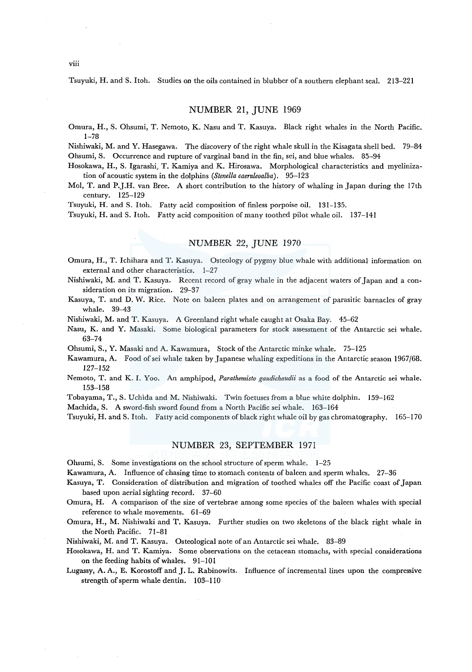Tsuyuki, H. and S. Itoh. Studies on the oils contained in blubber of a southern elephant seal. 213-221

### NUMBER 21, JUNE 1969

Omura, H., S. Ohsumi, T. Nemoto, K. Nasu and T. Kasuya. Black right whales in the North Pacific. 1-78

Nishiwaki, M. and Y. Hasegawa. The discovery of the right whale skull in the Kisagata shell bed. 79-84 Ohsumi, S. Occurrence and rupture of varginal band in the fin, sei, and blue whales. 85-94

Hosokawa, H., S. lgarashi, T. Kamiya and K. Hirosawa. Morphological characteristics and myelinization of acoustic system in the dolphins *(Stenella caeruleoalba).* 95-123

Mol, T. and P.J.H. van Bree. A short contribution to the history of whaling in Japan during the 17th century. 125-129

Tsuyuki, H. and S. Itoh. Fatty acid composition of finless porpoise oil. 131-135.

Tsuyuki, H. and S. Itoh. Fatty acid composition of many toothed pilot whale oil. 137-141

### NUMBER 22, JUNE 1970

Omura, H., T. lchihara and T. Kasuya. Osteology of pygmy blue whale with additional information on external and other characteristics. 1-27

Nishiwaki, M. and T. Kasuya. Recent record of gray whale in the adjacent waters of Japan and a consideration on its migration. 29-37

Kasuya, T. and D. W. Rice. Note on baleen plates and on arrangement of parasitic barnacles of gray whale. 39-43

Nishiwaki, M. and T. Kasuya. A Greenland right whale caught at Osaka Bay. 45-62

Nasu, K. and Y. Masaki. Some biological parameters for stock assessment of the Antarctic sei whale. 63-74

Ohsumi, S., Y. Masaki and A. Kawamura, Stock of the Antarctic minke whale. 75-125

Kawamura, A. Food ofsei whale taken by Japanese whaling expeditions in the Antarctic season 1967/68. 127-152

Nemoto, T. and K. I. Yoo. An amphipod, *Parathemisto gaudichaudii* as a food of the Antarctic sei whale. 153-158

Tobayama, T., S. Uchida and M. Nishiwaki. Twin foetuses from a blue white dolphin. 159-162

Machida, S. A sword-fish sword found from a North Pacific sei whale. 163-164

Tsuyuki, H. and S. Itoh. Fatty acid components of black right whale oil by gas chromatography. 165-170

#### NUMBER 23, SEPTEMBER 1971

Ohsumi, S. Some investigations on the school structure of sperm whale. 1-25

Kawamura, A. Influence of chasing time to stomach contents of baleen and sperm whales. 27-36

Kasuya, T. Consideration of distribution and migration of toothed whales off the Pacific coast of Japan based upon aerial sighting record. 37-60

Omura, H. A comparison of the size of vertebrae among some species of the baleen whales with special reference to whale movements. 61-69

Omura, H., M. Nishiwaki and T. Kasuya. Further studies on two skeletons of the black right whale in the North Pacific. 71-81

Nishiwaki, M. and T. Kasuya. Osteological note of an Antarctic sei whale. 83-89

Hosokawa, H. and T. Kamiya. Some observations on the cetacean stomachs, with special considerations on the feeding habits of whales. 91-101

Lugassy, A. A., E. Korostoff and J. L. Rabinowits. Influence of incremental lines upon the compressive strength of sperm whale dentin. 103-110

viii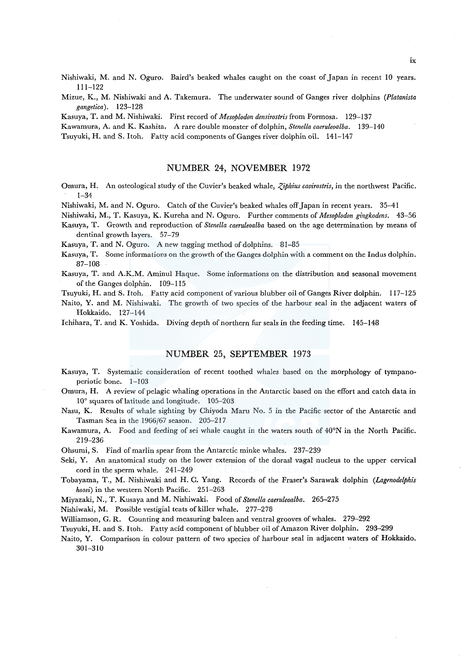Nishiwaki, M. and N. Oguro. Baird's beaked whales caught on the coast of Japan in recent 10 years. 111-122

Mizue, K., M. Nishiwaki and A. Takemura. The underwater sound of Ganges river dolphins *(Platanista gangetica).* 123-128

Kasuya, T. and M. Nishiwaki. First record of *Mesoplodon densirostris* from Formosa. 129-137

Kawamura, A. and K. Kashita. A rare double monster of dolphin, *Stenella caeruleoalba.* 139-140

Tsuyuki, H. and S. Itoh. Fatty acid components of Ganges river dolphin oil. 141-147

# NUMBER 24, NOVEMBER 1972

Omura, H. An osteological study of the Cuvier's beaked whale, *Ziphius cavirostris*, in the northwest Pacific. 1-34

Nishiwaki, M. and N. Oguro. Catch of the Cuvier's beaked whales off Japan in recent years. 35-41

Nishiwaki, M., T. Kasuya, K. Kureha and N. Oguro. Further comments of *Mesoplodon gingkodens.* 43-56

Kasuya, T. Growth and reproduction of *Stenella caeruleoalba* based on the age determination by means of dentinal growth layers. 57-79

Kasuya, T. and N. Oguro. A new tagging method of dolphins. 81-85

Kasuya, T. Some informations on the growth of the Ganges dolphin with a comment on the Indus dolphin. 87-108

Kasuya, T. and A.K.M. Aminul Haque. Some informations on the distribution and seasonal movement of the Ganges dolphin. 109-115

Tsuyuki, H. and S. Itoh. Fatty acid component of various blubber oil of Ganges River dolphin. 117-125

Naito, Y. and M. Nishiwaki. The growth of two species of the harbour seal in the adjacent waters of Hokkaido. 127-144

Ichihara, T. and K. Yoshida. Diving depth of northern fur seals in the feeding time. 145-148

#### NUMBER 25, SEPTEMBER 1973

- Kasuya, T. Systematic consideration of recent toothed whales based on the morphology of tympanoperiotic bone. 1-103
- Omura, H. A review of pelagic whaling operations in the Antarctic based on the effort and catch data in 10° squares oflatitude and longitude. 105-203

Nasu, K. Results of whale sighting by Chiyoda Maru No. 5 in the Pacific sector of the Antarctic and Tasman Sea in the 1966/67 season. 205-217

Kawamura, A. Food and feeding of sei whale caught in the waters south of 40°N in the North Pacific. 219-236

Ohsumi, S. Find of marlin spear from the Antarctic minke whales. 237-239

Seki, Y. An anatomical study on the lower extension of the dorasl vagal nucleus to the upper cervical cord in the sperm whale. 241-249

Tobayama, T., M. Nishiwaki and H. C. Yang. Records of the Fraser's Sarawak dolphin *(Lagmodelphis hosei)* in the western North Pacific. 251-263

Miyazaki, N., T. Kusaya and M. Nishiwaki. Food of *Stenella caeruleoalba.* 265-275

Nishiwaki, M. Possible vestigial teats of killer whale. 277-278

Williamson, G. R. Counting and measuring baleen and ventral grooves of whales. 279-292

Tsuyuki, H. and S. Itoh. Fatty acid component of blubber oil of Amazon River dolphin. 293-299

Naito, Y. Comparison in colour pattern of two species of harbour seal in adjacent waters of Hokkaido. 301-310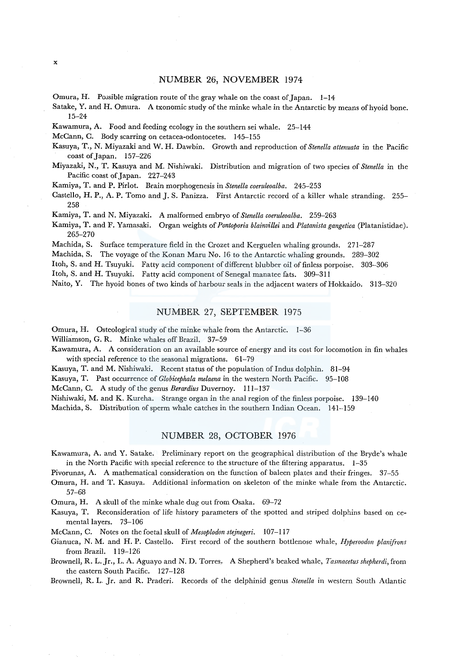# NUMBER 26, NOVEMBER 1974

Omura, H. Possible migration route of the gray whale on the coast of Japan. 1-14

Sa take, Y. and H. Omura. A txonomic study of the minke whale in the Antarctic by means of hyoid bone. 15-24

Kawamura, A. Food and feeding ecology in the southern sei whale. 25-144

McCann, C. Body scarring on cetacea-odontocetes. 145-155

- Kasuya, T., N. Miyazaki and W. H. Dawbin. Growth and reproduction of *Stenella attenuata* in the Pacific coast of Japan. 157-226
- Miyazaki, N., T. Kasuya and M. Nishiwaki. Distribution and migration of two species of *Stenella* in the Pacific coast of Japan. 227-243

Kamiya, T. and P. Pirlot. Brain morphogenesis in *Stenella coeruleoalba.* 245-253

Castello, H.P., A. P. Torno and J. S. Fanizza. First Antarctic record of a killer whale stranding. 255- 258

Kamiya, T. and N. Miyazaki. A malformed embryo of *Stenella coeruleoalba.* 259-263

Kamiya, T. and F. Yamasaki. Organ weights of *Pontoporia blainvillei* and *Platanista gangetica* (Platanistidae). 265-270

Machida, S. Surface temperature field in the Crozet and Kerguelen whaling grounds. 271-287

Machida, S. The voyage of the Konan Maru No. 16 to the Antarctic whaling grounds. 289-302

Itoh, S. and H. Tsuyuki. Fatty acid component of different blubber oil of finless porpoise. 303-306

Itoh, S. and H. Tsuyuki. Fatty acid component of Senegal manatee fats. 309-311

Naito, Y. The hyoid bones of two kinds of harbour seals in the adjacent waters of Hokkaido. 313-320

### NUMBER 27, SEPTEMBER 1975

Omura, H. Osteological study of the minke whale from the Antarctic. 1-36

Williamson, G. R. Minke whales off Brazil. 37-59

Kawamura, A. A consideration on an available source of energy and its cost for locomotion in fin whales with special reference to the seasonal migrations. 61-79

Kasuya, T. and M. Nishiwaki. Recent status of the population of Indus dolphin. 81-94

Kasuya, T. Past occurrence of *Globicephala melaena* in the western North Pacific. 95-108

McCann, C. A study of the genus *Berardius* Duvernoy. 111-137

Nishiwaki, M. and K. Kureha. Strange organ in the anal region of the finless porpoise. 139-140

Machida, S. Distribution of sperm whale catches in the southern Indian Ocean. 141-159

# NUMBER 28, OCTOBER 1976

Kawamura, A. and Y. Satake. Preliminary report on the geographical distribution of the Bryde's whale in the North Pacific with special reference to the structure of the filtering apparatus. 1-35

Pivorunas, A. A mathematical consideration on the function of baleen plates and their fringes. 37-55

Omura, H. and T. Kasuya. Additional information on skeleton of the minke whale from the Antarctic. 57-68

Omura, H. A skull of the minke whale dug out from Osaka. 69-72

Kasuya, T. Reconsideration of life history parameters of the spotted and striped dolphins based on cemental layers. 73-106

McCann, C. Notes on the foetal skull of *Mesoplodon stejnegeri.* 107-117

Gianuca, N. M. and H. P. Castello. First record of the southern bottlenose whale, *Hyperoodon planifrons*  from Brazil. 119-126

Brownell, R. L. Jr., L. A. Aguayo and N. D. Torres. A Shepherd's beaked whale, *Tasmacetus shepherdi,* from the eastern South Pacific. 127-128

Brownell, R. L. Jr. and R. Praderi. Records of the delphinid genus *Stenella* in western South Atlantic